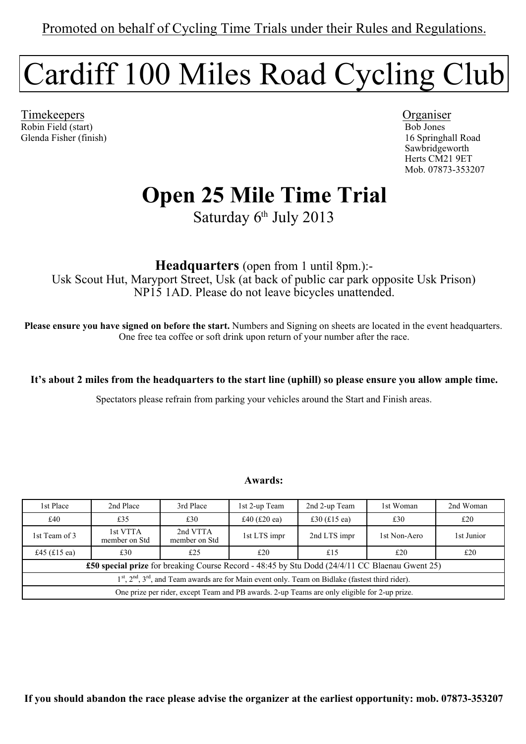# Cardiff 100 Miles Road Cycling Club

Timekeepers Organiser Robin Field (start) Bob Jones Glenda Fisher (finish) 16 Springhall Road

 Sawbridgeworth Herts CM21 9ET Mob. 07873-353207

## **Open 25 Mile Time Trial**

Saturday 6<sup>th</sup> July 2013

**Headquarters** (open from 1 until 8pm.):- Usk Scout Hut, Maryport Street, Usk (at back of public car park opposite Usk Prison) NP15 1AD. Please do not leave bicycles unattended.

**Please ensure you have signed on before the start.** Numbers and Signing on sheets are located in the event headquarters. One free tea coffee or soft drink upon return of your number after the race.

**It's about 2 miles from the headquarters to the start line (uphill) so please ensure you allow ample time.**

Spectators please refrain from parking your vehicles around the Start and Finish areas.

#### **Awards:**

| 1st Place                                                                                               | 2nd Place                 | 3rd Place                 | 1st 2-up Team  | 2nd 2-up Team  | 1st Woman    | 2nd Woman  |
|---------------------------------------------------------------------------------------------------------|---------------------------|---------------------------|----------------|----------------|--------------|------------|
| £40                                                                                                     | £35                       | £30                       | £40 $(E20$ ea) | £30 $(f15)$ ea | £30          | £20        |
| 1st Team of 3                                                                                           | 1st VTTA<br>member on Std | 2nd VTTA<br>member on Std | 1st LTS impr   | 2nd LTS impr   | 1st Non-Aero | 1st Junior |
| £45 (£15 ea)                                                                                            | £30                       | £25                       | £20            | £15            | £20          | £20        |
| <b>£50 special prize</b> for breaking Course Record - 48:45 by Stu Dodd (24/4/11 CC Blaenau Gwent 25)   |                           |                           |                |                |              |            |
| $1st$ , $2nd$ , $3rd$ , and Team awards are for Main event only. Team on Bidlake (fastest third rider). |                           |                           |                |                |              |            |
| One prize per rider, except Team and PB awards. 2-up Teams are only eligible for 2-up prize.            |                           |                           |                |                |              |            |

**If you should abandon the race please advise the organizer at the earliest opportunity: mob. 07873-353207**